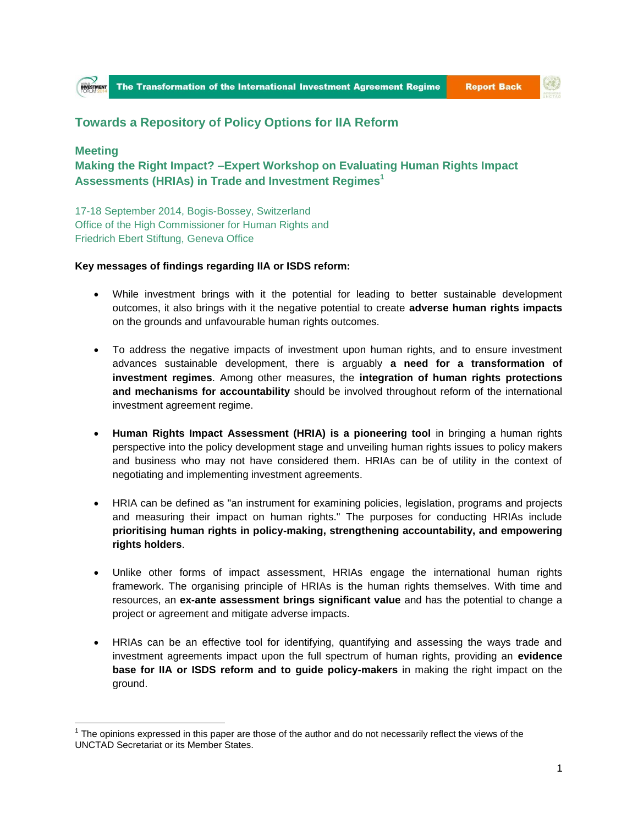



## **Towards a Repository of Policy Options for IIA Reform**

## **Meeting**

 $\overline{a}$ 

**Making the Right Impact? –Expert Workshop on Evaluating Human Rights Impact Assessments (HRIAs) in Trade and Investment Regimes<sup>1</sup>**

17-18 September 2014, Bogis-Bossey, Switzerland Office of the High Commissioner for Human Rights and Friedrich Ebert Stiftung, Geneva Office

## **Key messages of findings regarding IIA or ISDS reform:**

- While investment brings with it the potential for leading to better sustainable development outcomes, it also brings with it the negative potential to create **adverse human rights impacts** on the grounds and unfavourable human rights outcomes.
- To address the negative impacts of investment upon human rights, and to ensure investment advances sustainable development, there is arguably **a need for a transformation of investment regimes**. Among other measures, the **integration of human rights protections and mechanisms for accountability** should be involved throughout reform of the international investment agreement regime.
- **Human Rights Impact Assessment (HRIA) is a pioneering tool** in bringing a human rights perspective into the policy development stage and unveiling human rights issues to policy makers and business who may not have considered them. HRIAs can be of utility in the context of negotiating and implementing investment agreements.
- HRIA can be defined as "an instrument for examining policies, legislation, programs and projects and measuring their impact on human rights." The purposes for conducting HRIAs include **prioritising human rights in policy-making, strengthening accountability, and empowering rights holders**.
- Unlike other forms of impact assessment, HRIAs engage the international human rights framework. The organising principle of HRIAs is the human rights themselves. With time and resources, an **ex-ante assessment brings significant value** and has the potential to change a project or agreement and mitigate adverse impacts.
- HRIAs can be an effective tool for identifying, quantifying and assessing the ways trade and investment agreements impact upon the full spectrum of human rights, providing an **evidence base for IIA or ISDS reform and to guide policy-makers** in making the right impact on the ground.

 $1$  The opinions expressed in this paper are those of the author and do not necessarily reflect the views of the UNCTAD Secretariat or its Member States.